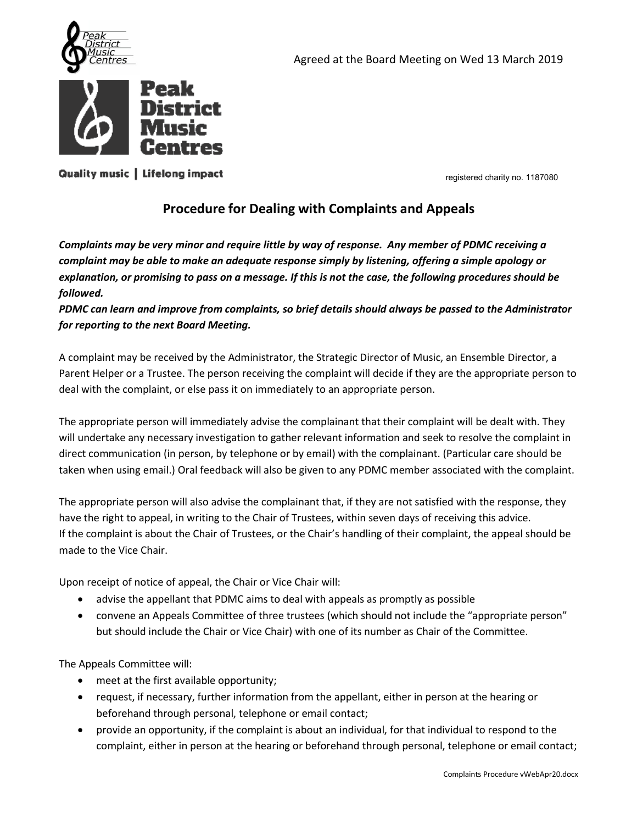



Agreed at the Board Meeting on Wed 13 March 2019<br> **Procedure for Dealing with Complaints and Appeals**<br>
Procedure for Dealing with Complaints and Appeals<br>
Procedure for Dealing with Complaints and Appeals<br>
For Dealing with Contrast<br>Contrast<br>Contrast<br>Complaints may be very minor and require little by way of response. Any member of PDMC receiving a<br>Complaints may be very minor and require little by way of response. Any member of PDMC receiving **complaints**<br> **complaints**<br> **complaints**<br> **complaints**<br> **Complaints**<br> **Complaints**<br> **Complaints**<br> **Complaints**<br> **Complaints**<br> **Complaints**<br> **Complaints**<br> **Complaints**<br> **Complaints**<br> **Complaints**<br> **Complaints**<br> **Complaints explanation, or promising to pass on a message.** If this is not the Roard Meeting on Wed 13 March 2019<br> **PERK CENTTES**<br> **PERK CENTTES**<br>
COMPlaints may be very minor and require little by way of response. Any member of PDM followed. Priorities<br> **PEARMONTERS**<br> **PEARMONTERS**<br> **PRODUCE CANTICES**<br> **PRODUCE CANTICES**<br> **PRODUCE CANTICES**<br>
Complaints may be very minor and require little by way of response. Any member of PDMC receiving a<br>
complaint may be ave **Front Power Control Control Control Control Control Control Control Control Control Control Control Control Control Control Control Control Control Control Control Control Control Control Control Control Control Control C Extract Complaints may be very minor and require little by way of response.** Any member of PDMC receiving a complaints may be very minor and require little by way of response. Any member of PDMC receiving a complaint may **Parent Helper or a Trustee. The person receiving the complaints and Appeals**<br> **Procedure for Dealing with Complaints and Appeals**<br> **Complaints may be very minor and require little by way of response.** Any member of PDMC r **COMPRISE:**<br> **COMPRISE:**<br> **COMPRISE:**<br> **COMPRISE:**<br> **COMPRISE:**<br> **COMPRISE:**<br> **COMPRISE:**<br> **COMPRISE:**<br> **COMPRISE:**<br> **COMPRISE:**<br> **COMPRISE:**<br> **COMPRISE:**<br> **COMPRISE:**<br> **COMPRISE:**<br> **COMPRISE:**<br> **COMPRISE:**<br> **COMPRISE:**<br>

**Constant Propriate Person will immediately advise the complaints and Appeals**<br> **Complaints may be very minor and require little by way of response.** Any member of PDMC receiving a<br>
complaint may be able to make an adequat relevant of the the matter of the matter and the complement and the complement and the complement any be very minor and require little by way of response. Any member of PDMC receiving a complaint may be able to make an ade **Procedure for Dealing with Complaints and Appeals**<br>Complaint may be very minor and require little by way of response. Any member of PDMC receiving a<br>complaint may be able to make an adequatte response simply by listening, **Procedure Tor Dealing With Complaints and Appeals**<br> **Complaint may be very minor and require little by way of response. Any member of PDMC receiving a<br>
complaint may be able to make an adequate response simply by listenin** Complaints may be very minor and require little by way of response. Any member of PDMC receiving a<br>complaint may be able to make an adequate response simply by listening, offering as imple appology or<br>explanation, or promi complaint may be able to make an adequate response simply by listening, offering a simple apology or<br>explanation, or promising to pass on a message. If this is not the case, the following procedures should be<br>PDMC can lear explanation, or promising to pass on a message. If this is not the case, the following procedures should be<br>followed.<br>PDMC can learn and improve from complaints, so brief details should always be passed to the Administrato **FOLOWER 10**<br> **FOLUTE 10**<br> **FOLUTE 10**<br> **FOLUTE 10**<br> **EDMC can learn and improve from complaints, so brief details should always be passed to<br>
A complaint may be received by the Administrator, the Strategic Director of Mus** for reporting to the next Board Meeting.<br>
A complaint may be received by the Administrator, the Strategic Director of Music, an Ensemble Director, a<br>
Parent Helper or a Trustee. The person receiving the complaint will deci mplaint may be received by the Administrator, the Strategic Director of Music, an Ensemble Director, a<br>
with the pro a Trustee. The person receiving the complaint will decide if they are the appropriate person to<br>
with the delper or a Trustee. The person receiving the complaint will decide if they are the appropriate person to<br>the complaint, or else pass it on immediately to an appropriate person.<br>
orpriate person will immediately advise the The appropriate person will immediately advise the complainant that their complaint will be dealt with. They<br>committed any necessary investigation to gather relevant information and seek to resolve the complaint in<br>direct

ceiving this advice.<br>plaint, the appeal should be<br>ossible<br>e the "appropriate person"<br>of the Committee.<br>son at the hearing or<br>ividual to respond to the<br>telephone or email contact;<br>complaints Procedure webApr20.docx ct communication (in person, by telephone or by email) with the complainant. (Particular care should be<br>appropriate person will aloo advise the complaint that, if they are not satisfied with the complaint.<br>the right to app ropriate person will also advise the complainant that, if they are not satisfied with the response, they eight to appeal, in writing to the Chair of Trustees, within seven days of receiving this advice.<br>
Implaint is about

- 
- 

- 
- 
-